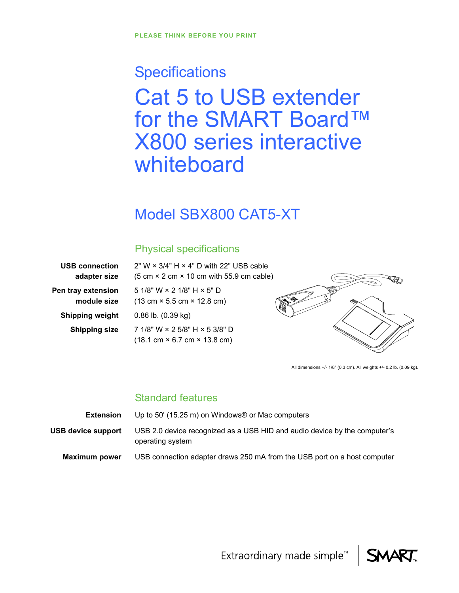# **Specifications** Cat 5 to USB extender for the SMART Board™ X800 series interactive whiteboard

## Model SBX800 CAT5-XT

### Physical specifications

| <b>USB connection</b>             |
|-----------------------------------|
| adapter size                      |
| Pen tray extension<br>module size |
| <b>Shipping weight</b>            |
| <b>Shipping size</b>              |

2" W × 3/4" H × 4" D with 22" USB cable  $(5 \text{ cm} \times 2 \text{ cm} \times 10 \text{ cm} \text{ with } 55.9 \text{ cm} \text{ cable})$ 5 1/8" W × 2 1/8" H × 5" D (13 cm × 5.5 cm × 12.8 cm) 0.86 lb. (0.39 kg) **Shipping size** 7 1/8" W × 2 5/8" H × 5 3/8" D (18.1 cm × 6.7 cm × 13.8 cm)



All dimensions +/- 1/8" (0.3 cm). All weights +/- 0.2 lb. (0.09 kg).

### Standard features

| Extension            | Up to 50' (15.25 m) on Windows $\&$ or Mac computers                                          |
|----------------------|-----------------------------------------------------------------------------------------------|
| USB device support   | USB 2.0 device recognized as a USB HID and audio device by the computer's<br>operating system |
| <b>Maximum power</b> | USB connection adapter draws 250 mA from the USB port on a host computer                      |

Extraordinary made simple<sup>™</sup>

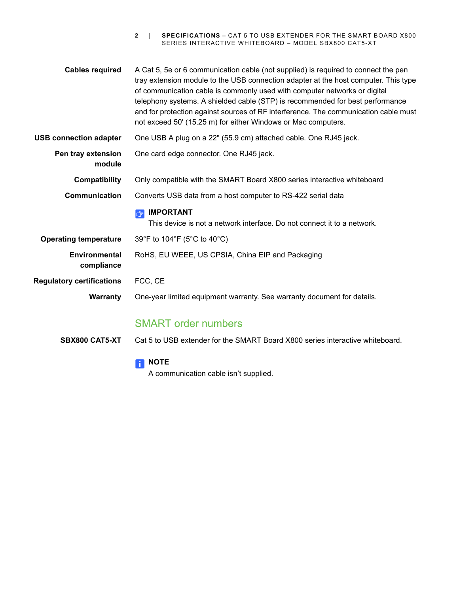**2 | SPECIFICATIONS** – CAT 5 TO USB EXTENDER FOR THE SMART BOARD X800 SERIES INTERACTIVE WHITEBOARD – MODEL SBX800 CAT5-XT

| <b>Cables required</b>             | A Cat 5, 5e or 6 communication cable (not supplied) is required to connect the pen<br>tray extension module to the USB connection adapter at the host computer. This type<br>of communication cable is commonly used with computer networks or digital<br>telephony systems. A shielded cable (STP) is recommended for best performance<br>and for protection against sources of RF interference. The communication cable must<br>not exceed 50' (15.25 m) for either Windows or Mac computers. |
|------------------------------------|-------------------------------------------------------------------------------------------------------------------------------------------------------------------------------------------------------------------------------------------------------------------------------------------------------------------------------------------------------------------------------------------------------------------------------------------------------------------------------------------------|
| <b>USB connection adapter</b>      | One USB A plug on a 22" (55.9 cm) attached cable. One RJ45 jack.                                                                                                                                                                                                                                                                                                                                                                                                                                |
| Pen tray extension<br>module       | One card edge connector. One RJ45 jack.                                                                                                                                                                                                                                                                                                                                                                                                                                                         |
| Compatibility                      | Only compatible with the SMART Board X800 series interactive whiteboard                                                                                                                                                                                                                                                                                                                                                                                                                         |
| Communication                      | Converts USB data from a host computer to RS-422 serial data                                                                                                                                                                                                                                                                                                                                                                                                                                    |
|                                    |                                                                                                                                                                                                                                                                                                                                                                                                                                                                                                 |
|                                    | <b>IMPORTANT</b><br>ピ<br>This device is not a network interface. Do not connect it to a network.                                                                                                                                                                                                                                                                                                                                                                                                |
| <b>Operating temperature</b>       | 39°F to 104°F (5°C to 40°C)                                                                                                                                                                                                                                                                                                                                                                                                                                                                     |
| <b>Environmental</b><br>compliance | RoHS, EU WEEE, US CPSIA, China EIP and Packaging                                                                                                                                                                                                                                                                                                                                                                                                                                                |
| <b>Regulatory certifications</b>   | FCC, CE                                                                                                                                                                                                                                                                                                                                                                                                                                                                                         |
| <b>Warranty</b>                    | One-year limited equipment warranty. See warranty document for details.                                                                                                                                                                                                                                                                                                                                                                                                                         |
|                                    | <b>SMART order numbers</b>                                                                                                                                                                                                                                                                                                                                                                                                                                                                      |

#### **NOTE**

A communication cable isn't supplied.